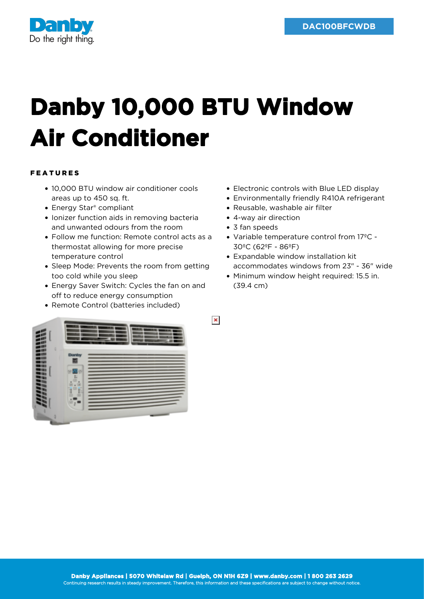

## **Danby 10,000 BTU Window Air Conditioner**

## FEATURES

- 10,000 BTU window air conditioner cools areas up to 450 sq. ft.
- Energy Star<sup>®</sup> compliant
- Ionizer function aids in removing bacteria and unwanted odours from the room
- Follow me function: Remote control acts as a thermostat allowing for more precise temperature control
- Sleep Mode: Prevents the room from getting too cold while you sleep
- Energy Saver Switch: Cycles the fan on and off to reduce energy consumption
- Remote Control (batteries included)
- Electronic controls with Blue LED display
- Environmentally friendly R410A refrigerant
- Reusable, washable air filter
- 4-way air direction
- 3 fan speeds

 $\pmb{\times}$ 

- Variable temperature control from 17ºC 30ºC (62ºF - 86ºF)
- Expandable window installation kit accommodates windows from 23" - 36" wide
- Minimum window height required: 15.5 in. (39.4 cm)